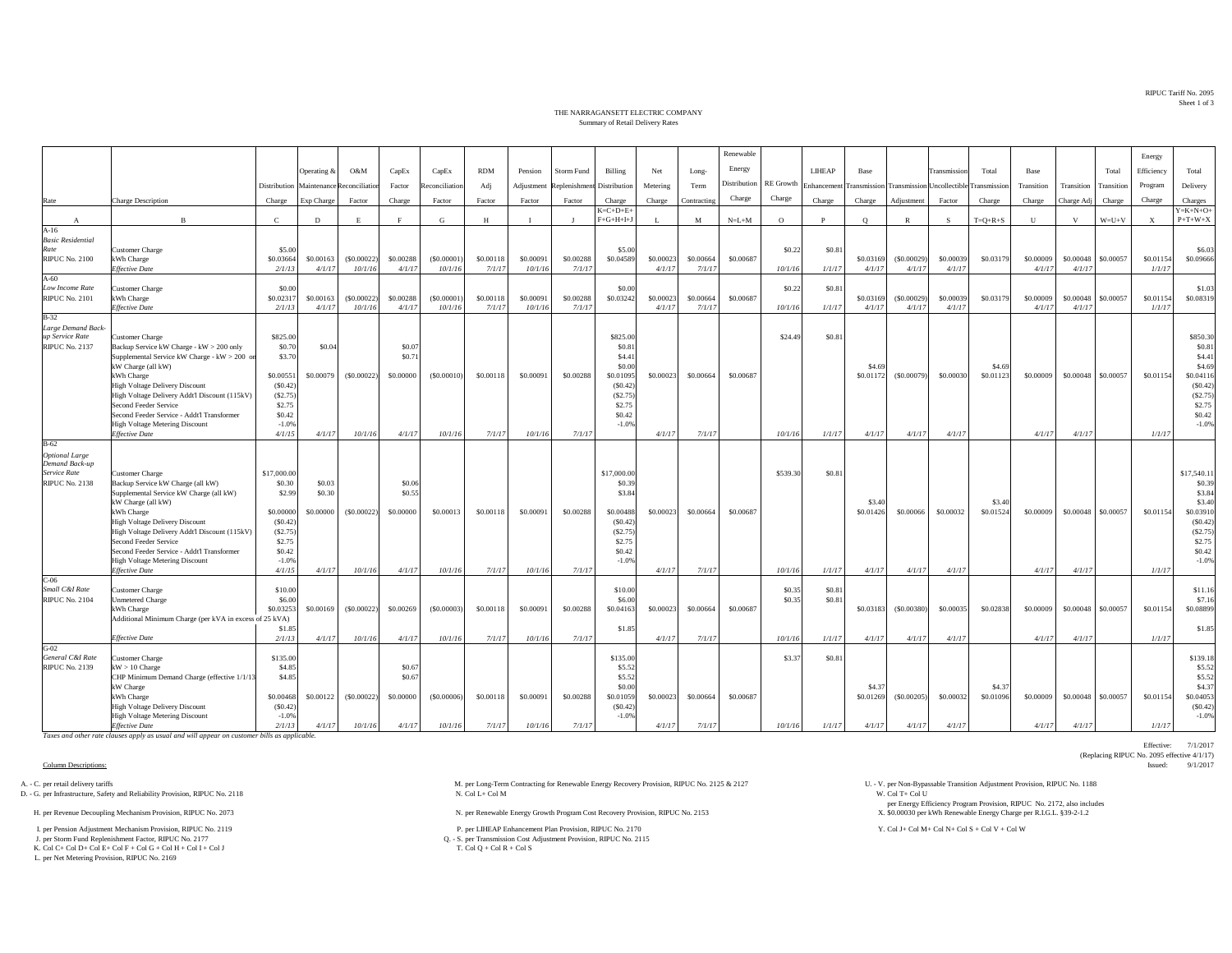RIPUC Tariff No. 2095Sheet 1 of 3

Effective: 7/1/2017

(Replacing RIPUC No. 2095 effective  $4/1/17$ )<br>Issued:  $9/1/2017$ 

## THE NARRAGANSETT ELECTRIC COMPANYSummary of Retail Delivery Rates

|                                          |                                                                                                  |                       |                            |            |                  |                |            |              |                   |                       |           |             | Renewable    |                  |                  |           |                                                                  |                     |           |            |            |            | Energy                    |                       |
|------------------------------------------|--------------------------------------------------------------------------------------------------|-----------------------|----------------------------|------------|------------------|----------------|------------|--------------|-------------------|-----------------------|-----------|-------------|--------------|------------------|------------------|-----------|------------------------------------------------------------------|---------------------|-----------|------------|------------|------------|---------------------------|-----------------------|
|                                          |                                                                                                  |                       | Operating &                | O&M        | CapEx            | CapEx          | <b>RDM</b> | Pension      | <b>Storm Fund</b> | Billing               | Net       | Long-       | Energy       |                  | <b>LIHEAP</b>    | Base      |                                                                  | <b>Transmission</b> | Total     | Base       |            | Total      | Efficiency                | Total                 |
|                                          |                                                                                                  | Distribution          | Maintenance Reconciliation |            | Factor           | Reconciliation | Adj        | Adjustment   | Replenishment     | Distribution          | Metering  | Term        | Distribution | <b>RE</b> Growth |                  |           | Enhancement Transmission Transmission Uncollectible Transmission |                     |           | Transition | Transition | Transition | Program                   | Delivery              |
| Rate                                     | <b>Charge Description</b>                                                                        | Charge                | Exp Charge                 | Factor     | Charge           | Factor         | Factor     | Factor       | Factor            | Charge                | Charge    | Contracting | Charge       | Charge           | Charge           | Charge    | Adjustment                                                       | Factor              | Charge    | Charge     | Charge Adj | Charge     | Charge                    | Charges               |
|                                          |                                                                                                  |                       |                            |            |                  |                |            |              |                   | $K = C + D + E +$     |           |             |              |                  |                  |           |                                                                  |                     |           |            |            |            |                           | $Y = K + N + O +$     |
| $\mathbf{A}$                             | $\mathbf{B}$                                                                                     | $\mathbf{C}$          | D                          | E          | $\mathbf{F}$     | G              | H          | $\mathbf{I}$ |                   | $F+G+H+I+J$           | Т.        | M           | $N=L+M$      | $\circ$          | P                | $\circ$   | $\mathbb{R}$                                                     | -S                  | $T=Q+R+S$ | U          | v          | $W=U+V$    | $\boldsymbol{\mathrm{X}}$ | $P+T+W+X$             |
| $A-16$<br><b>Basic Residential</b>       |                                                                                                  |                       |                            |            |                  |                |            |              |                   |                       |           |             |              |                  |                  |           |                                                                  |                     |           |            |            |            |                           |                       |
| Rate                                     | Customer Charge                                                                                  | \$5.00                |                            |            |                  |                |            |              |                   | \$5.00                |           |             |              | \$0.22           | \$0.81           |           |                                                                  |                     |           |            |            |            |                           | \$6.03                |
| <b>RIPUC No. 2100</b>                    | kWh Charge                                                                                       | \$0,03664             | \$0,00163                  | (S0.00022) | \$0,00288        | (S0,00001)     | \$0,00118  | \$0,00091    | \$0,00288         | \$0.04589             | \$0,00023 | \$0,00664   | \$0,00687    |                  |                  | \$0,0316  | (S0.00029)                                                       | \$0,00039           | \$0,03179 | \$0,00009  | \$0,00048  | \$0,00057  | \$0.01154                 | \$0,09666             |
|                                          | <b>Effective Date</b>                                                                            | 2/1/13                | 4/1/17                     | 10/1/16    | 4/1/17           | 10/1/16        | 7/1/17     | 10/1/16      | 7/1/17            |                       | 4/1/17    | 7/1/17      |              | 10/1/16          | 1/1/17           | 4/1/17    | 4/1/17                                                           | 4/1/17              |           | 4/1/17     | 4/1/17     |            | 1/1/17                    |                       |
| $A-60$                                   |                                                                                                  |                       |                            |            |                  |                |            |              |                   |                       |           |             |              |                  |                  |           |                                                                  |                     |           |            |            |            |                           |                       |
| Low Income Rate<br><b>RIPUC No. 2101</b> | Customer Charge<br>kWh Charge                                                                    | \$0.00<br>\$0.0231    | \$0,00163                  | (S0.00022) | \$0,00288        | (S0,00001)     | \$0,00118  | \$0,00091    | \$0.00288         | \$0.00<br>\$0.03242   | \$0,00023 | \$0,00664   | \$0,00687    | \$0.22           | \$0.81           | \$0,03169 | (S0.00029)                                                       | \$0,00039           | \$0,03179 | \$0,00009  | \$0,00048  | \$0,00057  | \$0.01154                 | \$1.03<br>\$0.08319   |
|                                          | Effective Date                                                                                   | 2/1/13                | 4/1/17                     | 10/1/16    | 4/1/17           | 10/1/16        | 7/1/17     | 10/1/16      | 7/1/17            |                       | 4/1/17    | 7/1/17      |              | 10/1/16          | 1/1/17           | 4/1/17    | 4/1/17                                                           | 4/1/17              |           | 4/1/17     | 4/1/17     |            | 1/1/17                    |                       |
| $B-32$                                   |                                                                                                  |                       |                            |            |                  |                |            |              |                   |                       |           |             |              |                  |                  |           |                                                                  |                     |           |            |            |            |                           |                       |
| Large Demand Back-                       |                                                                                                  |                       |                            |            |                  |                |            |              |                   |                       |           |             |              |                  |                  |           |                                                                  |                     |           |            |            |            |                           |                       |
| up Service Rate                          | Customer Charge                                                                                  | \$825.00              |                            |            |                  |                |            |              |                   | \$825.00              |           |             |              | \$24.4           | \$0.81           |           |                                                                  |                     |           |            |            |            |                           | \$850.30              |
| <b>RIPUC No. 2137</b>                    | Backup Service kW Charge - kW > 200 only<br>Supplemental Service kW Charge - kW > 200 on         | \$0.70<br>\$3.70      | \$0.04                     |            | \$0.07<br>\$0.71 |                |            |              |                   | \$0.81<br>\$4.41      |           |             |              |                  |                  |           |                                                                  |                     |           |            |            |            |                           | \$0.81<br>\$4.41      |
|                                          | kW Charge (all kW)                                                                               |                       |                            |            |                  |                |            |              |                   | \$0.00                |           |             |              |                  |                  | \$4.69    |                                                                  |                     | \$4.69    |            |            |            |                           | \$4.69                |
|                                          | kWh Charge                                                                                       | \$0.00551             | \$0,00079                  | (S0.00022) | \$0,00000        | (S0.00010)     | \$0.00118  | \$0,00091    | \$0.00288         | \$0.01095             | \$0,00023 | \$0,00664   | \$0,00687    |                  |                  | \$0,0117  | (S0.00079)                                                       | \$0,00030           | \$0.01123 | \$0,00009  | \$0,00048  | \$0,00057  | \$0.01154                 | \$0.04116             |
|                                          | High Voltage Delivery Discount                                                                   | (S0.42)               |                            |            |                  |                |            |              |                   | (S0.42)               |           |             |              |                  |                  |           |                                                                  |                     |           |            |            |            |                           | (S0.42)               |
|                                          | High Voltage Delivery Addt'l Discount (115kV)                                                    | (S2.75)               |                            |            |                  |                |            |              |                   | (S2.75)               |           |             |              |                  |                  |           |                                                                  |                     |           |            |            |            |                           | (S2.75)               |
|                                          | Second Feeder Service<br>Second Feeder Service - Addt'l Transformer                              | \$2.75<br>\$0.42      |                            |            |                  |                |            |              |                   | \$2.75<br>\$0.42      |           |             |              |                  |                  |           |                                                                  |                     |           |            |            |            |                           | \$2.75<br>\$0.42      |
|                                          | <b>High Voltage Metering Discount</b>                                                            | $-1.0%$               |                            |            |                  |                |            |              |                   | $-1.0%$               |           |             |              |                  |                  |           |                                                                  |                     |           |            |            |            |                           | $-1.0%$               |
|                                          | <b>Effective Date</b>                                                                            | 4/1/15                | 4/1/17                     | 10/1/16    | 4/1/17           | 10/1/16        | 7/1/17     | 10/1/16      | 7/1/17            |                       | 4/1/17    | 7/1/17      |              | 10/1/16          | 1/1/17           | 4/1/17    | 4/1/17                                                           | 4/1/17              |           | 4/1/17     | 4/1/17     |            | 1/1/17                    |                       |
|                                          |                                                                                                  |                       |                            |            |                  |                |            |              |                   |                       |           |             |              |                  |                  |           |                                                                  |                     |           |            |            |            |                           |                       |
| $B-62$                                   |                                                                                                  |                       |                            |            |                  |                |            |              |                   |                       |           |             |              |                  |                  |           |                                                                  |                     |           |            |            |            |                           |                       |
| <b>Optional Large</b>                    |                                                                                                  |                       |                            |            |                  |                |            |              |                   |                       |           |             |              |                  |                  |           |                                                                  |                     |           |            |            |            |                           |                       |
| Demand Back-up                           |                                                                                                  |                       |                            |            |                  |                |            |              |                   |                       |           |             |              |                  |                  |           |                                                                  |                     |           |            |            |            |                           |                       |
| Service Rate<br><b>RIPUC No. 2138</b>    | Customer Charge                                                                                  | \$17,000.00<br>\$0.30 | \$0.03                     |            | \$0.06           |                |            |              |                   | \$17,000.00<br>\$0.39 |           |             |              | \$539.30         | \$0.81           |           |                                                                  |                     |           |            |            |            |                           | \$17,540.11<br>\$0.39 |
|                                          | Backup Service kW Charge (all kW)<br>Supplemental Service kW Charge (all kW)                     | \$2.99                | \$0.30                     |            | \$0.55           |                |            |              |                   | \$3.84                |           |             |              |                  |                  |           |                                                                  |                     |           |            |            |            |                           | \$3.84                |
|                                          | kW Charge (all kW)                                                                               |                       |                            |            |                  |                |            |              |                   |                       |           |             |              |                  |                  | \$3.40    |                                                                  |                     | \$3.40    |            |            |            |                           | \$3.40                |
|                                          | kWh Charge                                                                                       | \$0,00000             | \$0,00000                  | (S0.00022) | \$0.00000        | \$0,00013      | \$0,00118  | \$0,00091    | \$0,00288         | \$0,00488             | \$0,00023 | \$0,00664   | \$0,00687    |                  |                  | \$0.01426 | \$0,00066                                                        | \$0,00032           | \$0.01524 | \$0,00009  | \$0,00048  | \$0,00057  | \$0.01154                 | \$0.03910             |
|                                          | High Voltage Delivery Discount                                                                   | (S0.42)               |                            |            |                  |                |            |              |                   | (S0.42)               |           |             |              |                  |                  |           |                                                                  |                     |           |            |            |            |                           | (S0.42)               |
|                                          | High Voltage Delivery Addt'l Discount (115kV)                                                    | (S2.75)<br>\$2.75     |                            |            |                  |                |            |              |                   | (S2.75)<br>\$2.75     |           |             |              |                  |                  |           |                                                                  |                     |           |            |            |            |                           | (S2.75)<br>\$2.75     |
|                                          | Second Feeder Service<br>Second Feeder Service - Addt'l Transformer                              | \$0.42                |                            |            |                  |                |            |              |                   | \$0.42                |           |             |              |                  |                  |           |                                                                  |                     |           |            |            |            |                           | \$0.42                |
|                                          | <b>High Voltage Metering Discount</b>                                                            | $-1.0%$               |                            |            |                  |                |            |              |                   | $-1.0%$               |           |             |              |                  |                  |           |                                                                  |                     |           |            |            |            |                           | $-1.0%$               |
|                                          | <b>Effective Date</b>                                                                            | 4/1/15                | 4/1/17                     | 10/1/16    | 4/1/17           | 10/1/16        | 7/1/17     | 10/1/16      | 7/1/17            |                       | 4/1/17    | 7/1/17      |              | 10/1/16          | 1/1/17           | 4/1/17    | 4/1/17                                                           | 4/1/17              |           | 4/1/17     | 4/1/17     |            | 1/1/17                    |                       |
| $C-06$                                   |                                                                                                  |                       |                            |            |                  |                |            |              |                   |                       |           |             |              |                  |                  |           |                                                                  |                     |           |            |            |            |                           |                       |
| Small C&I Rate<br><b>RIPUC No. 2104</b>  | <b>Customer Charge</b><br>Unmetered Charge                                                       | \$10.00<br>\$6.00     |                            |            |                  |                |            |              |                   | \$10.00<br>\$6.00     |           |             |              | \$0.35<br>\$0.35 | \$0.81<br>\$0.81 |           |                                                                  |                     |           |            |            |            |                           | \$11.16<br>\$7.16     |
|                                          | kWh Charge                                                                                       | \$0.03253             | \$0.00169                  | (S0.00022) | \$0.00269        | $($ \$0.00003) | \$0.00118  | \$0.00091    | \$0.00288         | \$0.04163             | \$0,00023 | \$0.00664   | \$0.00687    |                  |                  | \$0.03183 | ( \$0.00380)                                                     | \$0.00035           | \$0.02838 | \$0.00009  | \$0.00048  | \$0,00057  | \$0.01154                 | \$0.08899             |
|                                          | Additional Minimum Charge (per kVA in excess of 25 kVA)                                          |                       |                            |            |                  |                |            |              |                   |                       |           |             |              |                  |                  |           |                                                                  |                     |           |            |            |            |                           |                       |
|                                          |                                                                                                  | \$1.85                |                            |            |                  |                |            |              |                   | \$1.85                |           |             |              |                  |                  |           |                                                                  |                     |           |            |            |            |                           | \$1.85                |
| $G-02$                                   | <b>Effective Date</b>                                                                            | 2/1/13                | 4/1/17                     | 10/1/16    | 4/1/17           | 10/1/16        | 7/1/17     | 10/1/16      | 7/1/17            |                       | 4/1/17    | 7/1/17      |              | 10/1/16          | 1/1/17           | 4/1/17    | 4/1/17                                                           | 4/1/17              |           | 4/1/17     | 4/1/17     |            | 1/1/17                    |                       |
| General C&I Rate                         | Customer Charge                                                                                  | \$135.00              |                            |            |                  |                |            |              |                   | \$135.00              |           |             |              | \$3.3            | \$0.81           |           |                                                                  |                     |           |            |            |            |                           | \$139.18              |
| <b>RIPUC No. 2139</b>                    | $kW > 10$ Charge                                                                                 | \$4.85                |                            |            | \$0.67           |                |            |              |                   | \$5.52                |           |             |              |                  |                  |           |                                                                  |                     |           |            |            |            |                           | \$5.52                |
|                                          | CHP Minimum Demand Charge (effective 1/1/13                                                      | \$4.85                |                            |            | \$0.67           |                |            |              |                   | \$5.52                |           |             |              |                  |                  |           |                                                                  |                     |           |            |            |            |                           | \$5.52                |
|                                          | kW Charge                                                                                        |                       |                            |            |                  |                |            |              |                   | \$0.00                |           |             |              |                  |                  | \$4.37    |                                                                  |                     | \$4.37    |            |            |            |                           | \$4.37                |
|                                          | kWh Charge                                                                                       | \$0,00468<br>(S0.42)  | \$0.00122                  | (S0.00022) | \$0.00000        | $($ \$0,00006) | \$0.00118  | \$0,00091    | \$0.00288         | \$0.01059<br>(S0.42)  | \$0,00023 | \$0.00664   | \$0.00687    |                  |                  | \$0.01269 | (S0.00205)                                                       | \$0,00032           | \$0.01096 | \$0.00009  | \$0.00048  | \$0,00057  | \$0.01154                 | \$0.04053<br>(S0.42)  |
|                                          | High Voltage Delivery Discount<br><b>High Voltage Metering Discount</b><br><b>Effective Date</b> | $-1.0%$<br>2/1/13     |                            | 10/1/16    | 4/1/17           | 10/1/16        | 7/1/17     | 10/1/16      | 7/1/17            | $-1.0%$               | 4/1/17    | 7/1/17      |              | 10/1/16          | 1/1/17           |           | 4/1/17                                                           | 4/1/17              |           | 4/1/17     | 4/1/17     |            | 1/1/17                    | $-1.0%$               |

*Taxes and other rate clauses apply as usual and will appear on customer bills as applicable.*

Column Descriptions: Issued: 9/1/2017

D. - G. per Infrastructure, Safety and Reliability Provision, RIPUC No. 2118

K. Col C+ Col D+ Col E+ Col F + Col G + Col H + Col I + Col J

L. per Net Metering Provision, RIPUC No. 2169

A. - C. per retail delivery tariffs M. per Long-Term Contracting for Renewable Energy Recovery Provision, RIPUC No. 2125 & 2127 U. - V. per Non-Bypassable Transition Adjustment Provision, RIPUC No. 1188<br>D. - G. per Infrast

H. per Renewable Energy Growth Program Cost Recovery Provision, RIPUC No. 2153 N. per Renewable Energy Growth Program Cost Recovery Provision, RIPUC No. 2153

1. per Pension Adjustment Mechanism Provision, RIPUC No. 2119 P. per LIHEAP Enhancement Plan Provision, RIPUC No. 2170 Y. Col J+ Col M+ Col N+ Col N+ Col S + Col V + Col W + Col W + Col W + Col W + Col W + Col W + Col W +

Q. - S. per Transmission Cost Adjustment Provision, RIPUC No. 2115<br>T. Col Q + Col R + Col S

per Energy Efficiency Program Provision, RIPUC No. 2172, also includes \$0.00030 per kWh Renewable Energy Charge per R.I.G.L. §39-2-1.2